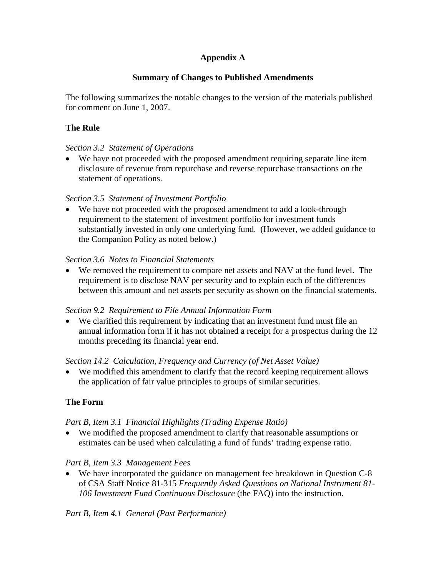## **Appendix A**

## **Summary of Changes to Published Amendments**

The following summarizes the notable changes to the version of the materials published for comment on June 1, 2007.

# **The Rule**

#### *Section 3.2 Statement of Operations*

• We have not proceeded with the proposed amendment requiring separate line item disclosure of revenue from repurchase and reverse repurchase transactions on the statement of operations.

#### *Section 3.5 Statement of Investment Portfolio*

• We have not proceeded with the proposed amendment to add a look-through requirement to the statement of investment portfolio for investment funds substantially invested in only one underlying fund. (However, we added guidance to the Companion Policy as noted below.)

#### *Section 3.6 Notes to Financial Statements*

• We removed the requirement to compare net assets and NAV at the fund level. The requirement is to disclose NAV per security and to explain each of the differences between this amount and net assets per security as shown on the financial statements.

#### *Section 9.2 Requirement to File Annual Information Form*

• We clarified this requirement by indicating that an investment fund must file an annual information form if it has not obtained a receipt for a prospectus during the 12 months preceding its financial year end.

#### *Section 14.2 Calculation, Frequency and Currency (of Net Asset Value)*

• We modified this amendment to clarify that the record keeping requirement allows the application of fair value principles to groups of similar securities.

#### **The Form**

#### *Part B, Item 3.1 Financial Highlights (Trading Expense Ratio)*

• We modified the proposed amendment to clarify that reasonable assumptions or estimates can be used when calculating a fund of funds' trading expense ratio.

#### *Part B, Item 3.3 Management Fees*

• We have incorporated the guidance on management fee breakdown in Question C-8 of CSA Staff Notice 81-315 *Frequently Asked Questions on National Instrument 81- 106 Investment Fund Continuous Disclosure* (the FAQ) into the instruction.

*Part B, Item 4.1 General (Past Performance)*